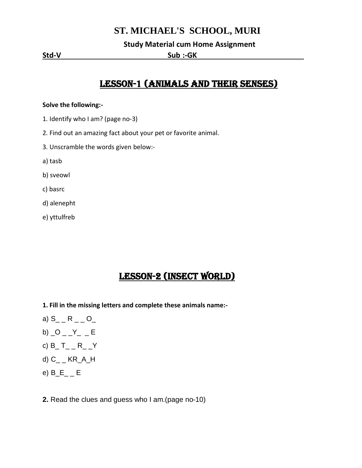## **ST. MICHAEL'S SCHOOL, MURI**

 **Study Material cum Home Assignment**

**Std-V Sub :-GK** .

# Lesson-1 (Animals and their Senses)

#### **Solve the following:-**

- 1. Identify who I am? (page no-3)
- 2. Find out an amazing fact about your pet or favorite animal.
- 3. Unscramble the words given below:-
- a) tasb
- b) sveowl
- c) basrc
- d) alenepht
- e) yttulfreb

# Lesson-2 (Insect world)

- **1. Fill in the missing letters and complete these animals name:-**
- a)  $S_{--}R_{--}O_{--}$
- b)  $\_O$   $\_Y$   $\_$   $=$   $E$
- c)  $B_T = R_T$
- d) C\_ \_ KR\_A\_H
- e) B\_E\_ \_ E
- **2.** Read the clues and guess who I am.(page no-10)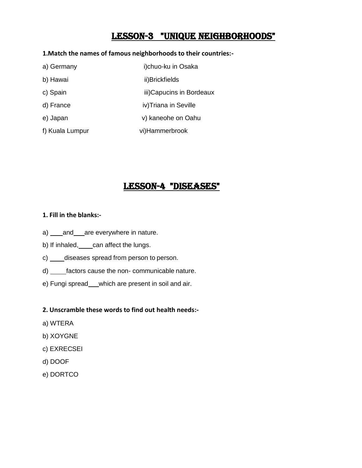## LESSON-3 "Unique Neighborhoods"

#### **1.Match the names of famous neighborhoods to their countries:-**

| a) Germany      | i)chuo-ku in Osaka        |
|-----------------|---------------------------|
| b) Hawai        | ii)Brickfields            |
| c) Spain        | iii) Capucins in Bordeaux |
| d) France       | iv)Triana in Seville      |
| e) Japan        | v) kaneohe on Oahu        |
| f) Kuala Lumpur | vi)Hammerbrook            |

## Lesson-4 "Diseases"

### **1. Fill in the blanks:-**

- a) and are everywhere in nature.
- b) If inhaled, can affect the lungs.
- c) \_\_\_\_\_ diseases spread from person to person.
- d) \_\_\_\_\_factors cause the non- communicable nature.
- e) Fungi spread \_\_which are present in soil and air.

#### **2. Unscramble these words to find out health needs:-**

- a) WTERA
- b) XOYGNE
- c) EXRECSEI
- d) DOOF
- e) DORTCO